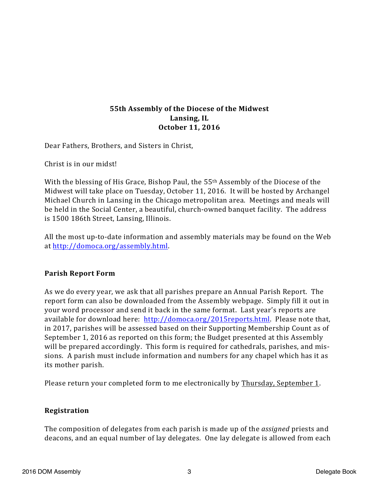## **55th Assembly of the Diocese of the Midwest** Lansing, IL **October 11, 2016**

Dear Fathers, Brothers, and Sisters in Christ,

Christ is in our midst!

With the blessing of His Grace, Bishop Paul, the 55<sup>th</sup> Assembly of the Diocese of the Midwest will take place on Tuesday, October 11, 2016. It will be hosted by Archangel Michael Church in Lansing in the Chicago metropolitan area. Meetings and meals will be held in the Social Center, a beautiful, church-owned banquet facility. The address is 1500 186th Street, Lansing, Illinois.

All the most up-to-date information and assembly materials may be found on the Web at http://domoca.org/assembly.html.

# **Parish Report Form**

As we do every year, we ask that all parishes prepare an Annual Parish Report. The report form can also be downloaded from the Assembly webpage. Simply fill it out in your word processor and send it back in the same format. Last year's reports are available for download here: http://domoca.org/2015reports.html. Please note that, in 2017, parishes will be assessed based on their Supporting Membership Count as of September 1, 2016 as reported on this form; the Budget presented at this Assembly will be prepared accordingly. This form is required for cathedrals, parishes, and missions. A parish must include information and numbers for any chapel which has it as its mother parish.

Please return your completed form to me electronically by Thursday, September 1.

# **Registration**

The composition of delegates from each parish is made up of the *assigned* priests and deacons, and an equal number of lay delegates. One lay delegate is allowed from each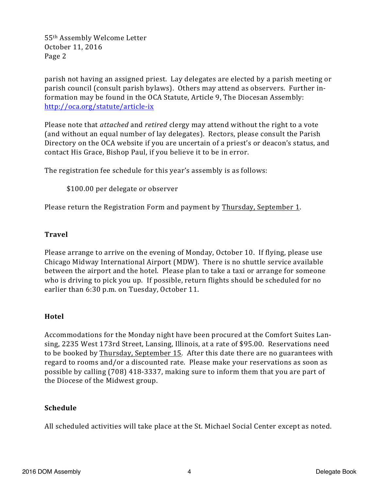55<sup>th</sup> Assembly Welcome Letter October 11, 2016 Page 2

parish not having an assigned priest. Lay delegates are elected by a parish meeting or parish council (consult parish bylaws). Others may attend as observers. Further information may be found in the OCA Statute, Article 9, The Diocesan Assembly: http://oca.org/statute/article-ix

Please note that *attached* and *retired* clergy may attend without the right to a vote (and without an equal number of lay delegates). Rectors, please consult the Parish Directory on the OCA website if you are uncertain of a priest's or deacon's status, and contact His Grace, Bishop Paul, if you believe it to be in error.

The registration fee schedule for this year's assembly is as follows:

\$100.00 per delegate or observer

Please return the Registration Form and payment by Thursday, September 1.

### **Travel**

Please arrange to arrive on the evening of Monday, October 10. If flying, please use Chicago Midway International Airport (MDW). There is no shuttle service available between the airport and the hotel. Please plan to take a taxi or arrange for someone who is driving to pick you up. If possible, return flights should be scheduled for no earlier than 6:30 p.m. on Tuesday, October 11.

### **Hotel**

Accommodations for the Monday night have been procured at the Comfort Suites Lansing, 2235 West 173rd Street, Lansing, Illinois, at a rate of \$95.00. Reservations need to be booked by Thursday, September 15. After this date there are no guarantees with regard to rooms and/or a discounted rate. Please make your reservations as soon as possible by calling (708) 418-3337, making sure to inform them that you are part of the Diocese of the Midwest group.

### **Schedule**

All scheduled activities will take place at the St. Michael Social Center except as noted.